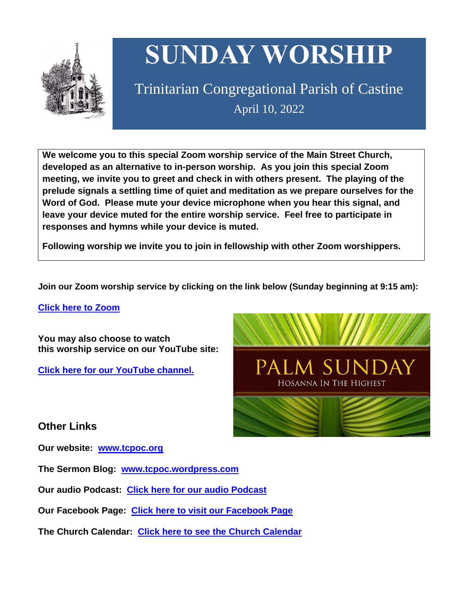

# **SUNDAY WORSHIP**

Trinitarian Congregational Parish of Castine April 10, 2022

**We welcome you to this special Zoom worship service of the Main Street Church, developed as an alternative to in-person worship. As you join this special Zoom meeting, we invite you to greet and check in with others present. The playing of the prelude signals a settling time of quiet and meditation as we prepare ourselves for the Word of God. Please mute your device microphone when you hear this signal, and leave your device muted for the entire worship service. Feel free to participate in responses and hymns while your device is muted.**

**Following worship we invite you to join in fellowship with other Zoom worshippers.**

**Join our Zoom worship service by clicking on the link below (Sunday beginning at 9:15 am):**

**Click here to [Zoom](https://us02web.zoom.us/j/89573448511?pwd=MFRuSFBJR2NWL015RzlyZ1UycmROQT09)**

**You may also choose to watch this worship service on our YouTube site:**

**Click here for our [YouTube](https://www.youtube.com/channel/UC4Bu-O6pN-bdPOqVNg0fBxA) channel.**



## **Other Links**

**Our website: [www.tcpoc.org](http://www.tcpoc.org/)**

**The Sermon Blog: [www.tcpoc.wordpress.com](http://www.tcpoc.wordpress.com/)**

**Our audio Podcast: Click here for our audio [Podcast](https://podpoint.com/trinitarian-congregational-parish-of-castine-podcast)**

**Our Facebook Page: Click here to visit our [Facebook](https://www.facebook.com/tcpoc) Page**

**The Church Calendar: Click here to see the Church [Calendar](http://www.tcpoc.org/calendar.html)**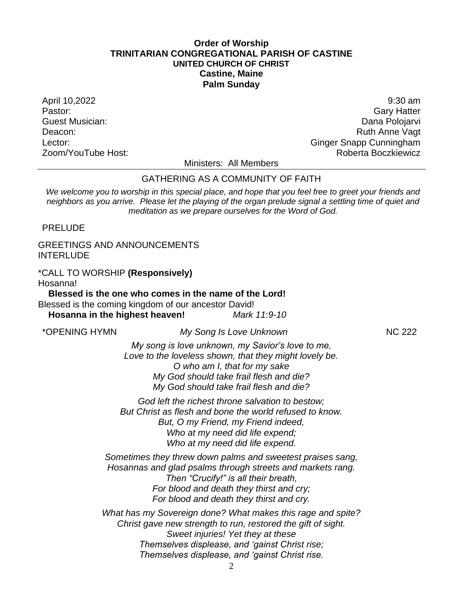### **Order of Worship TRINITARIAN CONGREGATIONAL PARISH OF CASTINE UNITED CHURCH OF CHRIST Castine, Maine Palm Sunday**

April 10,2022 9:30 am Pastor: Gary Hatter Guest Musician: Dana Polojarvi Deacon: **Ruth Anne Vagt** Lector: Contract of Contract Contract Contract Contract Contract Contract Contract Contract Contract Contract Contract Contract Contract Contract Contract Contract Contract Contract Contract Contract Contract Contract Cont Zoom/YouTube Host: Roberta Boczkiewicz

Ministers: All Members

#### GATHERING AS A COMMUNITY OF FAITH

*We welcome you to worship in this special place, and hope that you feel free to greet your friends and neighbors as you arrive. Please let the playing of the organ prelude signal a settling time of quiet and meditation as we prepare ourselves for the Word of God.*

PRELUDE

GREETINGS AND ANNOUNCEMENTS **INTERLUDE** 

\*CALL TO WORSHIP **(Responsively)** Hosanna!

**Blessed is the one who comes in the name of the Lord!** Blessed is the coming kingdom of our ancestor David! **Hosanna in the highest heaven!** *Mark 11:9-10*

\*OPENING HYMN *My Song Is Love Unknown* NC 222

*My song is love unknown, my Savior's love to me, Love to the loveless shown, that they might lovely be. O who am I, that for my sake My God should take frail flesh and die? My God should take frail flesh and die?*

*God left the richest throne salvation to bestow; But Christ as flesh and bone the world refused to know. But, O my Friend, my Friend indeed, Who at my need did life expend; Who at my need did life expend.*

*Sometimes they threw down palms and sweetest praises sang, Hosannas and glad psalms through streets and markets rang. Then "Crucify!" is all their breath, For blood and death they thirst and cry; For blood and death they thirst and cry.*

*What has my Sovereign done? What makes this rage and spite? Christ gave new strength to run, restored the gift of sight. Sweet injuries! Yet they at these Themselves displease, and 'gainst Christ rise; Themselves displease, and 'gainst Christ rise.*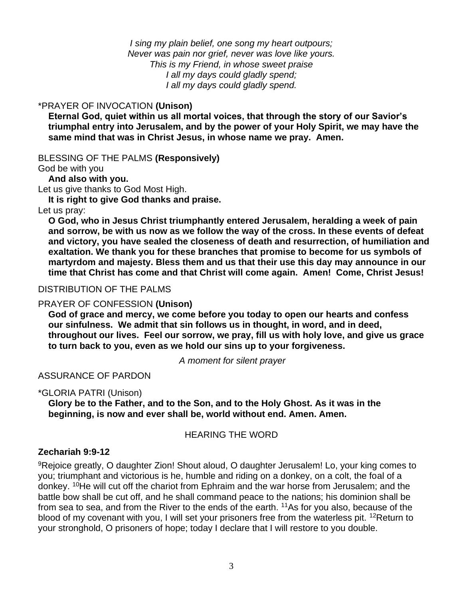*I sing my plain belief, one song my heart outpours; Never was pain nor grief, never was love like yours. This is my Friend, in whose sweet praise I all my days could gladly spend; I all my days could gladly spend.*

## \*PRAYER OF INVOCATION **(Unison)**

**Eternal God, quiet within us all mortal voices, that through the story of our Savior's triumphal entry into Jerusalem, and by the power of your Holy Spirit, we may have the same mind that was in Christ Jesus, in whose name we pray. Amen.**

BLESSING OF THE PALMS **(Responsively)** God be with you

**And also with you.**

Let us give thanks to God Most High.

**It is right to give God thanks and praise.**

Let us pray:

**O God, who in Jesus Christ triumphantly entered Jerusalem, heralding a week of pain and sorrow, be with us now as we follow the way of the cross. In these events of defeat and victory, you have sealed the closeness of death and resurrection, of humiliation and exaltation. We thank you for these branches that promise to become for us symbols of martyrdom and majesty. Bless them and us that their use this day may announce in our time that Christ has come and that Christ will come again. Amen! Come, Christ Jesus!**

## DISTRIBUTION OF THE PALMS

## PRAYER OF CONFESSION **(Unison)**

**God of grace and mercy, we come before you today to open our hearts and confess our sinfulness. We admit that sin follows us in thought, in word, and in deed, throughout our lives. Feel our sorrow, we pray, fill us with holy love, and give us grace to turn back to you, even as we hold our sins up to your forgiveness.**

*A moment for silent prayer*

ASSURANCE OF PARDON

\*GLORIA PATRI (Unison)

**Glory be to the Father, and to the Son, and to the Holy Ghost. As it was in the beginning, is now and ever shall be, world without end. Amen. Amen.**

HEARING THE WORD

## **Zechariah 9:9-12**

<sup>9</sup>Rejoice greatly, O daughter Zion! Shout aloud, O daughter Jerusalem! Lo, your king comes to you; triumphant and victorious is he, humble and riding on a donkey, on a colt, the foal of a donkey. <sup>10</sup>He will cut off the chariot from Ephraim and the war horse from Jerusalem; and the battle bow shall be cut off, and he shall command peace to the nations; his dominion shall be from sea to sea, and from the River to the ends of the earth. <sup>11</sup>As for you also, because of the blood of my covenant with you, I will set your prisoners free from the waterless pit. <sup>12</sup>Return to your stronghold, O prisoners of hope; today I declare that I will restore to you double.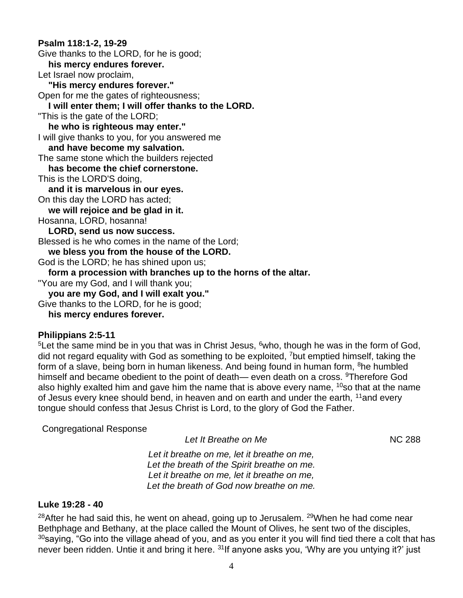## **Psalm 118:1-2, 19-29** Give thanks to the LORD, for he is good; **his mercy endures forever.**  Let Israel now proclaim, **"His mercy endures forever."**  Open for me the gates of righteousness; **I will enter them; I will offer thanks to the LORD.**  "This is the gate of the LORD; **he who is righteous may enter."**  I will give thanks to you, for you answered me **and have become my salvation.**  The same stone which the builders rejected **has become the chief cornerstone.**  This is the LORD'S doing, **and it is marvelous in our eyes.**  On this day the LORD has acted; **we will rejoice and be glad in it.**  Hosanna, LORD, hosanna! **LORD, send us now success.**  Blessed is he who comes in the name of the Lord; **we bless you from the house of the LORD.**  God is the LORD; he has shined upon us; **form a procession with branches up to the horns of the altar.**  "You are my God, and I will thank you; **you are my God, and I will exalt you."** Give thanks to the LORD, for he is good; **his mercy endures forever.**

## **Philippians 2:5-11**

<sup>5</sup>Let the same mind be in you that was in Christ Jesus,  $6$ who, though he was in the form of God, did not regard equality with God as something to be exploited, <sup>7</sup>but emptied himself, taking the form of a slave, being born in human likeness. And being found in human form, <sup>8</sup>he humbled himself and became obedient to the point of death— even death on a cross. <sup>9</sup>Therefore God also highly exalted him and gave him the name that is above every name,  $10$ so that at the name of Jesus every knee should bend, in heaven and on earth and under the earth, <sup>11</sup>and every tongue should confess that Jesus Christ is Lord, to the glory of God the Father.

## Congregational Response

| Let It Breathe on Me                        | <b>NC 288</b> |
|---------------------------------------------|---------------|
| Let it breathe on me, let it breathe on me, |               |
| Let the breath of the Spirit breathe on me. |               |

*Let the breath of the Spirit breathe on me. Let it breathe on me, let it breathe on me, Let the breath of God now breathe on me.*

## **Luke 19:28 - 40**

 $28$ After he had said this, he went on ahead, going up to Jerusalem.  $29$ When he had come near Bethphage and Bethany, at the place called the Mount of Olives, he sent two of the disciples,  $30$ saying, "Go into the village ahead of you, and as you enter it you will find tied there a colt that has never been ridden. Untie it and bring it here. <sup>31</sup>If anyone asks you, 'Why are you untying it?' just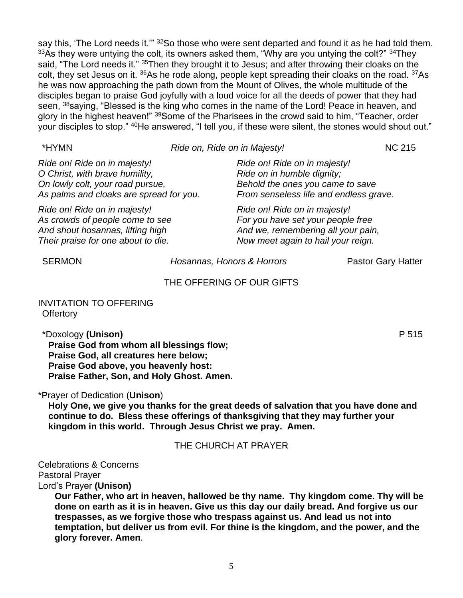say this, 'The Lord needs it.'" <sup>32</sup>So those who were sent departed and found it as he had told them.  $33$ As they were untying the colt, its owners asked them, "Why are you untying the colt?"  $34$ They said, "The Lord needs it." <sup>35</sup>Then they brought it to Jesus; and after throwing their cloaks on the colt, they set Jesus on it. <sup>36</sup>As he rode along, people kept spreading their cloaks on the road. <sup>37</sup>As he was now approaching the path down from the Mount of Olives, the whole multitude of the disciples began to praise God joyfully with a loud voice for all the deeds of power that they had seen, <sup>38</sup>saying, "Blessed is the king who comes in the name of the Lord! Peace in heaven, and glory in the highest heaven!" <sup>39</sup>Some of the Pharisees in the crowd said to him, "Teacher, order your disciples to stop." <sup>40</sup>He answered, "I tell you, if these were silent, the stones would shout out."

| *HYMN                                                                                                                                         | Ride on, Ride on in Majesty!                                                                                                                  | <b>NC 215</b> |
|-----------------------------------------------------------------------------------------------------------------------------------------------|-----------------------------------------------------------------------------------------------------------------------------------------------|---------------|
| Ride on! Ride on in majesty!<br>O Christ, with brave humility,<br>On lowly colt, your road pursue,<br>As palms and cloaks are spread for you. | Ride on! Ride on in majesty!<br>Ride on in humble dignity;<br>Behold the ones you came to save<br>From senseless life and endless grave.      |               |
| Ride on! Ride on in majesty!<br>As crowds of people come to see<br>And shout hosannas, lifting high<br>Their praise for one about to die.     | Ride on! Ride on in majesty!<br>For you have set your people free<br>And we, remembering all your pain,<br>Now meet again to hail your reign. |               |

SERMON *Hosannas, Honors & Horrors* Pastor Gary Hatter

### THE OFFERING OF OUR GIFTS

INVITATION TO OFFERING **Offertory** 

\*Doxology **(Unison)** P 515 **Praise God from whom all blessings flow; Praise God, all creatures here below; Praise God above, you heavenly host: Praise Father, Son, and Holy Ghost. Amen.**

\*Prayer of Dedication (**Unison**)

**Holy One, we give you thanks for the great deeds of salvation that you have done and continue to do. Bless these offerings of thanksgiving that they may further your kingdom in this world. Through Jesus Christ we pray. Amen.**

#### THE CHURCH AT PRAYER

Celebrations & Concerns Pastoral Prayer Lord's Prayer **(Unison)**

> **Our Father, who art in heaven, hallowed be thy name. Thy kingdom come. Thy will be done on earth as it is in heaven. Give us this day our daily bread. And forgive us our trespasses, as we forgive those who trespass against us. And lead us not into temptation, but deliver us from evil. For thine is the kingdom, and the power, and the glory forever. Amen**.